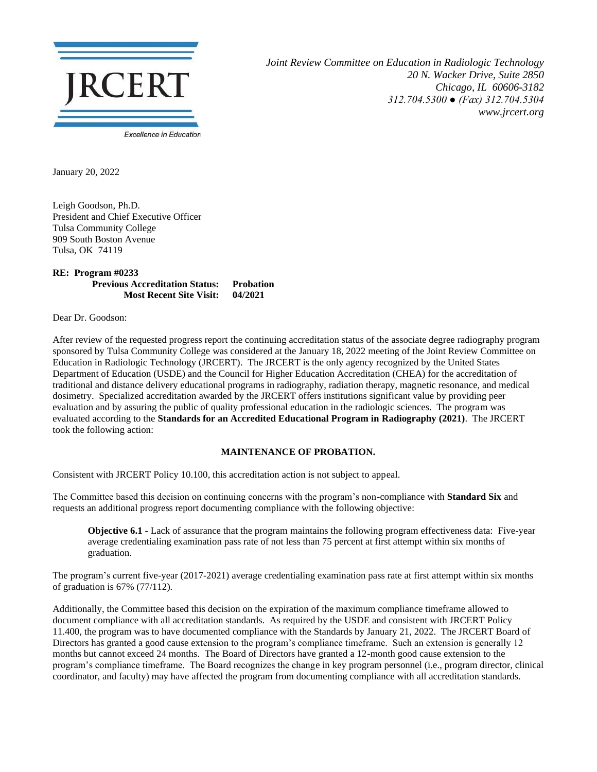

*Joint Review Committee on Education in Radiologic Technology 20 N. Wacker Drive, Suite 2850 Chicago, IL 60606-3182 312.704.5300 ● (Fax) 312.704.5304 www.jrcert.org*

January 20, 2022

Leigh Goodson, Ph.D. President and Chief Executive Officer Tulsa Community College 909 South Boston Avenue Tulsa, OK 74119

**RE: Program #0233 Previous Accreditation Status: Probation Most Recent Site Visit: 04/2021**

Dear Dr. Goodson:

After review of the requested progress report the continuing accreditation status of the associate degree radiography program sponsored by Tulsa Community College was considered at the January 18, 2022 meeting of the Joint Review Committee on Education in Radiologic Technology (JRCERT). The JRCERT is the only agency recognized by the United States Department of Education (USDE) and the Council for Higher Education Accreditation (CHEA) for the accreditation of traditional and distance delivery educational programs in radiography, radiation therapy, magnetic resonance, and medical dosimetry. Specialized accreditation awarded by the JRCERT offers institutions significant value by providing peer evaluation and by assuring the public of quality professional education in the radiologic sciences. The program was evaluated according to the **Standards for an Accredited Educational Program in Radiography (2021)**. The JRCERT took the following action:

## **MAINTENANCE OF PROBATION.**

Consistent with JRCERT Policy 10.100, this accreditation action is not subject to appeal.

The Committee based this decision on continuing concerns with the program's non-compliance with **Standard Six** and requests an additional progress report documenting compliance with the following objective:

**Objective 6.1** - Lack of assurance that the program maintains the following program effectiveness data: Five-year average credentialing examination pass rate of not less than 75 percent at first attempt within six months of graduation.

The program's current five-year (2017-2021) average credentialing examination pass rate at first attempt within six months of graduation is 67% (77/112).

Additionally, the Committee based this decision on the expiration of the maximum compliance timeframe allowed to document compliance with all accreditation standards. As required by the USDE and consistent with JRCERT Policy 11.400, the program was to have documented compliance with the Standards by January 21, 2022. The JRCERT Board of Directors has granted a good cause extension to the program's compliance timeframe. Such an extension is generally 12 months but cannot exceed 24 months. The Board of Directors have granted a 12-month good cause extension to the program's compliance timeframe. The Board recognizes the change in key program personnel (i.e., program director, clinical coordinator, and faculty) may have affected the program from documenting compliance with all accreditation standards.